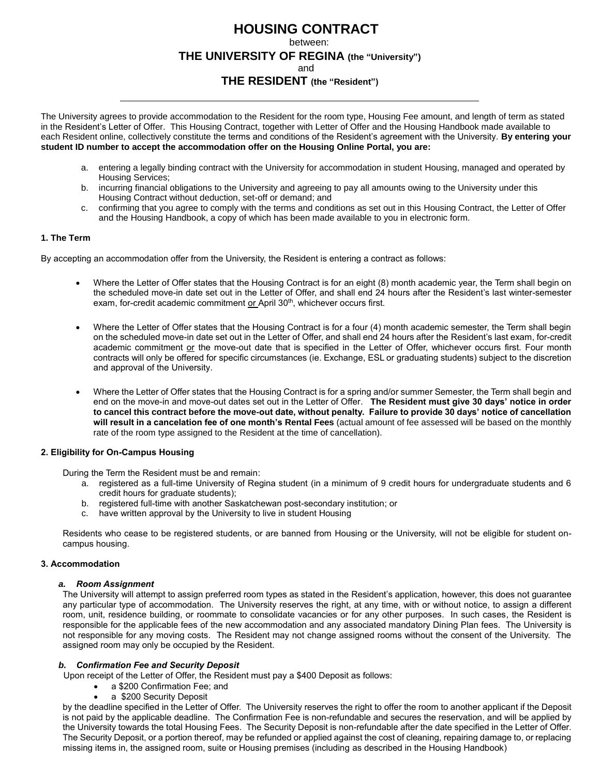# **HOUSING CONTRACT**

between:

# **THE UNIVERSITY OF REGINA (the "University")**

and

# **THE RESIDENT (the "Resident")**

The University agrees to provide accommodation to the Resident for the room type, Housing Fee amount, and length of term as stated in the Resident's Letter of Offer. This Housing Contract, together with Letter of Offer and the Housing Handbook made available to each Resident online, collectively constitute the terms and conditions of the Resident's agreement with the University. **By entering your student ID number to accept the accommodation offer on the Housing Online Portal, you are:**

- a. entering a legally binding contract with the University for accommodation in student Housing, managed and operated by Housing Services;
- b. incurring financial obligations to the University and agreeing to pay all amounts owing to the University under this Housing Contract without deduction, set-off or demand; and
- c. confirming that you agree to comply with the terms and conditions as set out in this Housing Contract, the Letter of Offer and the Housing Handbook, a copy of which has been made available to you in electronic form.

## **1. The Term**

By accepting an accommodation offer from the University, the Resident is entering a contract as follows:

- Where the Letter of Offer states that the Housing Contract is for an eight (8) month academic year, the Term shall begin on the scheduled move-in date set out in the Letter of Offer, and shall end 24 hours after the Resident's last winter-semester exam, for-credit academic commitment or April 30<sup>th</sup>, whichever occurs first.
- Where the Letter of Offer states that the Housing Contract is for a four (4) month academic semester, the Term shall begin on the scheduled move-in date set out in the Letter of Offer, and shall end 24 hours after the Resident's last exam, for-credit academic commitment or the move-out date that is specified in the Letter of Offer, whichever occurs first. Four month contracts will only be offered for specific circumstances (ie. Exchange, ESL or graduating students) subject to the discretion and approval of the University.
- Where the Letter of Offer states that the Housing Contract is for a spring and/or summer Semester, the Term shall begin and end on the move-in and move-out dates set out in the Letter of Offer. **The Resident must give 30 days' notice in order to cancel this contract before the move-out date, without penalty. Failure to provide 30 days' notice of cancellation will result in a cancelation fee of one month's Rental Fees** (actual amount of fee assessed will be based on the monthly rate of the room type assigned to the Resident at the time of cancellation).

## **2. Eligibility for On-Campus Housing**

During the Term the Resident must be and remain:

- a. registered as a full-time University of Regina student (in a minimum of 9 credit hours for undergraduate students and 6 credit hours for graduate students);
- b. registered full-time with another Saskatchewan post-secondary institution; or
- c. have written approval by the University to live in student Housing

Residents who cease to be registered students, or are banned from Housing or the University, will not be eligible for student oncampus housing.

## **3. Accommodation**

## *a. Room Assignment*

The University will attempt to assign preferred room types as stated in the Resident's application, however, this does not guarantee any particular type of accommodation. The University reserves the right, at any time, with or without notice, to assign a different room, unit, residence building, or roommate to consolidate vacancies or for any other purposes. In such cases, the Resident is responsible for the applicable fees of the new accommodation and any associated mandatory Dining Plan fees. The University is not responsible for any moving costs. The Resident may not change assigned rooms without the consent of the University. The assigned room may only be occupied by the Resident.

# *b. Confirmation Fee and Security Deposit*

Upon receipt of the Letter of Offer, the Resident must pay a \$400 Deposit as follows:

- a \$200 Confirmation Fee; and
- a \$200 Security Deposit

by the deadline specified in the Letter of Offer. The University reserves the right to offer the room to another applicant if the Deposit is not paid by the applicable deadline. The Confirmation Fee is non-refundable and secures the reservation, and will be applied by the University towards the total Housing Fees. The Security Deposit is non-refundable after the date specified in the Letter of Offer. The Security Deposit, or a portion thereof, may be refunded or applied against the cost of cleaning, repairing damage to, or replacing missing items in, the assigned room, suite or Housing premises (including as described in the Housing Handbook)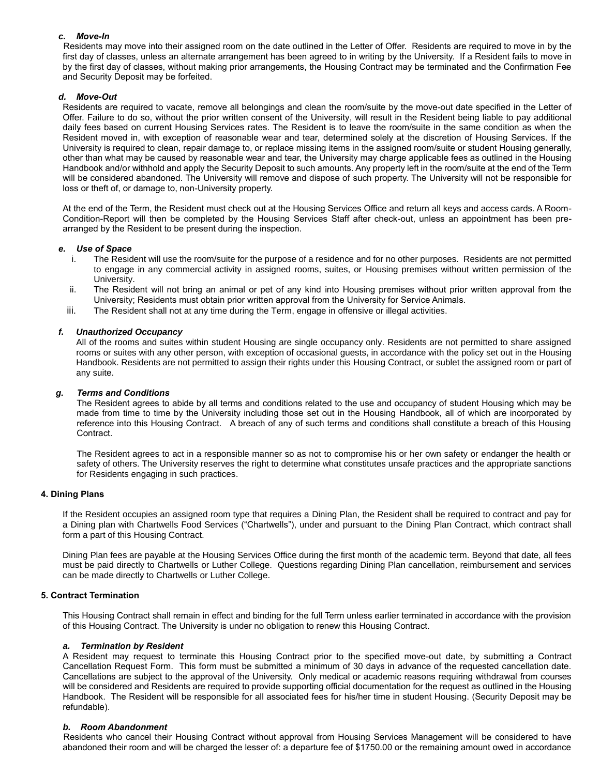## *c. Move-In*

Residents may move into their assigned room on the date outlined in the Letter of Offer. Residents are required to move in by the first day of classes, unless an alternate arrangement has been agreed to in writing by the University. If a Resident fails to move in by the first day of classes, without making prior arrangements, the Housing Contract may be terminated and the Confirmation Fee and Security Deposit may be forfeited.

# *d. Move-Out*

Residents are required to vacate, remove all belongings and clean the room/suite by the move-out date specified in the Letter of Offer. Failure to do so, without the prior written consent of the University, will result in the Resident being liable to pay additional daily fees based on current Housing Services rates. The Resident is to leave the room/suite in the same condition as when the Resident moved in, with exception of reasonable wear and tear, determined solely at the discretion of Housing Services. If the University is required to clean, repair damage to, or replace missing items in the assigned room/suite or student Housing generally, other than what may be caused by reasonable wear and tear, the University may charge applicable fees as outlined in the Housing Handbook and/or withhold and apply the Security Deposit to such amounts. Any property left in the room/suite at the end of the Term will be considered abandoned. The University will remove and dispose of such property. The University will not be responsible for loss or theft of, or damage to, non-University property.

At the end of the Term, the Resident must check out at the Housing Services Office and return all keys and access cards. A Room-Condition-Report will then be completed by the Housing Services Staff after check-out, unless an appointment has been prearranged by the Resident to be present during the inspection.

## *e. Use of Space*

- i. The Resident will use the room/suite for the purpose of a residence and for no other purposes. Residents are not permitted to engage in any commercial activity in assigned rooms, suites, or Housing premises without written permission of the University.
- ii. The Resident will not bring an animal or pet of any kind into Housing premises without prior written approval from the University; Residents must obtain prior written approval from the University for Service Animals.
- iii. The Resident shall not at any time during the Term, engage in offensive or illegal activities.

## *f. Unauthorized Occupancy*

All of the rooms and suites within student Housing are single occupancy only. Residents are not permitted to share assigned rooms or suites with any other person, with exception of occasional guests, in accordance with the policy set out in the Housing Handbook. Residents are not permitted to assign their rights under this Housing Contract, or sublet the assigned room or part of any suite.

## *g. Terms and Conditions*

The Resident agrees to abide by all terms and conditions related to the use and occupancy of student Housing which may be made from time to time by the University including those set out in the Housing Handbook, all of which are incorporated by reference into this Housing Contract. A breach of any of such terms and conditions shall constitute a breach of this Housing Contract.

The Resident agrees to act in a responsible manner so as not to compromise his or her own safety or endanger the health or safety of others. The University reserves the right to determine what constitutes unsafe practices and the appropriate sanctions for Residents engaging in such practices.

## **4. Dining Plans**

If the Resident occupies an assigned room type that requires a Dining Plan, the Resident shall be required to contract and pay for a Dining plan with Chartwells Food Services ("Chartwells"), under and pursuant to the Dining Plan Contract, which contract shall form a part of this Housing Contract.

Dining Plan fees are payable at the Housing Services Office during the first month of the academic term. Beyond that date, all fees must be paid directly to Chartwells or Luther College. Questions regarding Dining Plan cancellation, reimbursement and services can be made directly to Chartwells or Luther College.

## **5. Contract Termination**

This Housing Contract shall remain in effect and binding for the full Term unless earlier terminated in accordance with the provision of this Housing Contract. The University is under no obligation to renew this Housing Contract.

## *a. Termination by Resident*

A Resident may request to terminate this Housing Contract prior to the specified move-out date, by submitting a Contract Cancellation Request Form. This form must be submitted a minimum of 30 days in advance of the requested cancellation date. Cancellations are subject to the approval of the University. Only medical or academic reasons requiring withdrawal from courses will be considered and Residents are required to provide supporting official documentation for the request as outlined in the Housing Handbook. The Resident will be responsible for all associated fees for his/her time in student Housing. (Security Deposit may be refundable).

# *b. Room Abandonment*

Residents who cancel their Housing Contract without approval from Housing Services Management will be considered to have abandoned their room and will be charged the lesser of: a departure fee of \$1750.00 or the remaining amount owed in accordance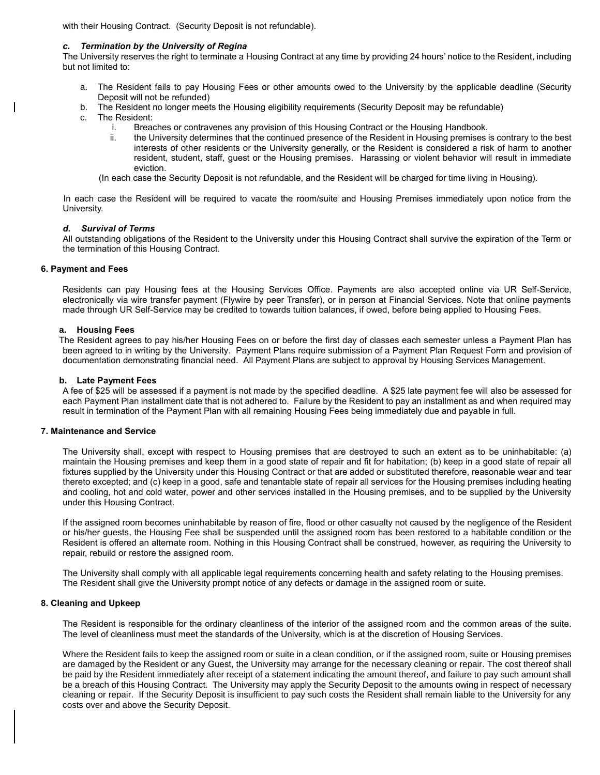with their Housing Contract. (Security Deposit is not refundable).

#### *c. Termination by the University of Regina*

The University reserves the right to terminate a Housing Contract at any time by providing 24 hours' notice to the Resident, including but not limited to:

- a. The Resident fails to pay Housing Fees or other amounts owed to the University by the applicable deadline (Security Deposit will not be refunded)
- b. The Resident no longer meets the Housing eligibility requirements (Security Deposit may be refundable)
- c. The Resident:
	- i. Breaches or contravenes any provision of this Housing Contract or the Housing Handbook.
	- ii. the University determines that the continued presence of the Resident in Housing premises is contrary to the best interests of other residents or the University generally, or the Resident is considered a risk of harm to another resident, student, staff, guest or the Housing premises. Harassing or violent behavior will result in immediate eviction.

(In each case the Security Deposit is not refundable, and the Resident will be charged for time living in Housing).

In each case the Resident will be required to vacate the room/suite and Housing Premises immediately upon notice from the University.

#### *d. Survival of Terms*

All outstanding obligations of the Resident to the University under this Housing Contract shall survive the expiration of the Term or the termination of this Housing Contract.

#### **6. Payment and Fees**

Residents can pay Housing fees at the Housing Services Office. Payments are also accepted online via UR Self-Service, electronically via wire transfer payment (Flywire by peer Transfer), or in person at Financial Services. Note that online payments made through UR Self-Service may be credited to towards tuition balances, if owed, before being applied to Housing Fees.

#### **a. Housing Fees**

The Resident agrees to pay his/her Housing Fees on or before the first day of classes each semester unless a Payment Plan has been agreed to in writing by the University. Payment Plans require submission of a Payment Plan Request Form and provision of documentation demonstrating financial need. All Payment Plans are subject to approval by Housing Services Management.

#### **b. Late Payment Fees**

A fee of \$25 will be assessed if a payment is not made by the specified deadline. A \$25 late payment fee will also be assessed for each Payment Plan installment date that is not adhered to. Failure by the Resident to pay an installment as and when required may result in termination of the Payment Plan with all remaining Housing Fees being immediately due and payable in full.

#### **7. Maintenance and Service**

The University shall, except with respect to Housing premises that are destroyed to such an extent as to be uninhabitable: (a) maintain the Housing premises and keep them in a good state of repair and fit for habitation; (b) keep in a good state of repair all fixtures supplied by the University under this Housing Contract or that are added or substituted therefore, reasonable wear and tear thereto excepted; and (c) keep in a good, safe and tenantable state of repair all services for the Housing premises including heating and cooling, hot and cold water, power and other services installed in the Housing premises, and to be supplied by the University under this Housing Contract.

If the assigned room becomes uninhabitable by reason of fire, flood or other casualty not caused by the negligence of the Resident or his/her guests, the Housing Fee shall be suspended until the assigned room has been restored to a habitable condition or the Resident is offered an alternate room. Nothing in this Housing Contract shall be construed, however, as requiring the University to repair, rebuild or restore the assigned room.

The University shall comply with all applicable legal requirements concerning health and safety relating to the Housing premises. The Resident shall give the University prompt notice of any defects or damage in the assigned room or suite.

#### **8. Cleaning and Upkeep**

The Resident is responsible for the ordinary cleanliness of the interior of the assigned room and the common areas of the suite. The level of cleanliness must meet the standards of the University, which is at the discretion of Housing Services.

Where the Resident fails to keep the assigned room or suite in a clean condition, or if the assigned room, suite or Housing premises are damaged by the Resident or any Guest, the University may arrange for the necessary cleaning or repair. The cost thereof shall be paid by the Resident immediately after receipt of a statement indicating the amount thereof, and failure to pay such amount shall be a breach of this Housing Contract. The University may apply the Security Deposit to the amounts owing in respect of necessary cleaning or repair. If the Security Deposit is insufficient to pay such costs the Resident shall remain liable to the University for any costs over and above the Security Deposit.